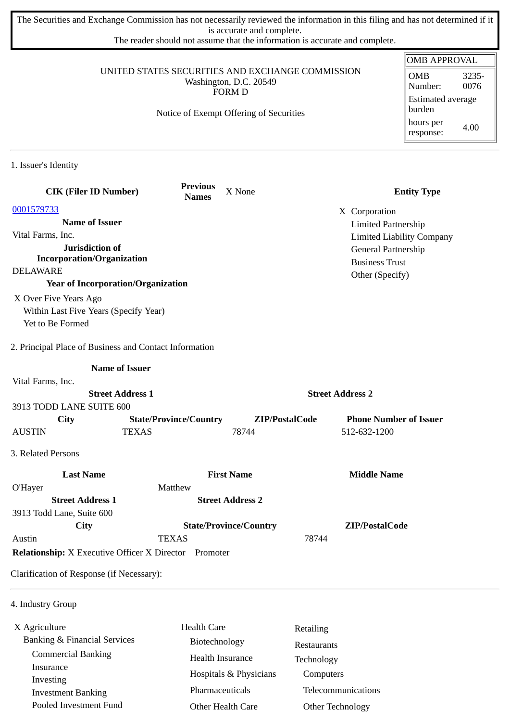The Securities and Exchange Commission has not necessarily reviewed the information in this filing and has not determined if it is accurate and complete.

The reader should not assume that the information is accurate and complete.

|                                                                                             |                                                              |                               |                                        | <b>OMB APPROVAL</b>                |
|---------------------------------------------------------------------------------------------|--------------------------------------------------------------|-------------------------------|----------------------------------------|------------------------------------|
| UNITED STATES SECURITIES AND EXCHANGE COMMISSION<br>Washington, D.C. 20549<br><b>FORM D</b> |                                                              |                               | <b>OMB</b><br>3235-<br>0076<br>Number: |                                    |
|                                                                                             | Notice of Exempt Offering of Securities                      |                               |                                        | <b>Estimated average</b><br>burden |
|                                                                                             |                                                              |                               |                                        | hours per<br>4.00<br>response:     |
| 1. Issuer's Identity                                                                        |                                                              |                               |                                        |                                    |
| <b>CIK (Filer ID Number)</b>                                                                | <b>Previous</b><br><b>Names</b>                              | X None                        |                                        | <b>Entity Type</b>                 |
| 0001579733                                                                                  |                                                              |                               | X Corporation                          |                                    |
| <b>Name of Issuer</b>                                                                       |                                                              |                               | <b>Limited Partnership</b>             |                                    |
| Vital Farms, Inc.                                                                           |                                                              |                               | <b>Limited Liability Company</b>       |                                    |
| Jurisdiction of                                                                             |                                                              |                               | General Partnership                    |                                    |
| <b>Incorporation/Organization</b><br><b>DELAWARE</b>                                        |                                                              |                               | <b>Business Trust</b>                  |                                    |
| <b>Year of Incorporation/Organization</b>                                                   |                                                              |                               | Other (Specify)                        |                                    |
| X Over Five Years Ago                                                                       |                                                              |                               |                                        |                                    |
| Within Last Five Years (Specify Year)                                                       |                                                              |                               |                                        |                                    |
| Yet to Be Formed                                                                            |                                                              |                               |                                        |                                    |
| 2. Principal Place of Business and Contact Information                                      | <b>Name of Issuer</b>                                        |                               |                                        |                                    |
|                                                                                             |                                                              |                               |                                        |                                    |
| Vital Farms, Inc.<br><b>Street Address 1</b>                                                |                                                              | <b>Street Address 2</b>       |                                        |                                    |
| 3913 TODD LANE SUITE 600                                                                    |                                                              |                               |                                        |                                    |
| City                                                                                        | <b>State/Province/Country</b>                                | ZIP/PostalCode                | <b>Phone Number of Issuer</b>          |                                    |
| <b>AUSTIN</b>                                                                               | <b>TEXAS</b>                                                 | 78744                         | 512-632-1200                           |                                    |
| 3. Related Persons                                                                          |                                                              |                               |                                        |                                    |
| <b>Last Name</b>                                                                            |                                                              | <b>First Name</b>             | <b>Middle Name</b>                     |                                    |
| O'Hayer                                                                                     | Matthew                                                      |                               |                                        |                                    |
| <b>Street Address 1</b>                                                                     |                                                              | <b>Street Address 2</b>       |                                        |                                    |
| 3913 Todd Lane, Suite 600                                                                   |                                                              |                               |                                        |                                    |
| <b>City</b>                                                                                 |                                                              | <b>State/Province/Country</b> | ZIP/PostalCode                         |                                    |
| Austin                                                                                      | <b>TEXAS</b>                                                 |                               | 78744                                  |                                    |
|                                                                                             | <b>Relationship:</b> X Executive Officer X Director Promoter |                               |                                        |                                    |
| Clarification of Response (if Necessary):                                                   |                                                              |                               |                                        |                                    |
| 4. Industry Group                                                                           |                                                              |                               |                                        |                                    |

X Agriculture Banking & Financial Services Commercial Banking Insurance Investing Investment Banking Pooled Investment Fund Health Care Biotechnology Health Insurance Hospitals & Physicians Pharmaceuticals Other Health Care Retailing Restaurants Technology Computers Telecommunications Other Technology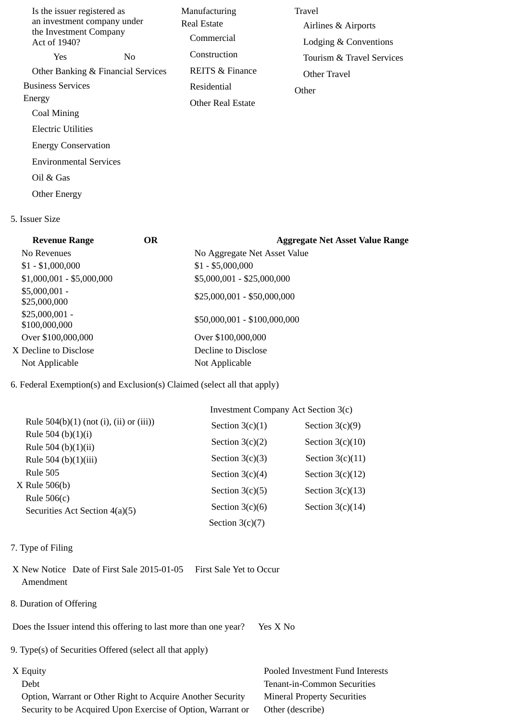| Is the issuer registered as<br>an investment company under<br>the Investment Company<br>Act of 1940? | Manufacturing<br>Real Estate<br>Commercial | Travel<br>Airlines & Airports<br>Lodging & Conventions |
|------------------------------------------------------------------------------------------------------|--------------------------------------------|--------------------------------------------------------|
| <b>Yes</b><br>No.                                                                                    | Construction                               | Tourism & Travel Services                              |
| Other Banking & Financial Services                                                                   | REITS & Finance                            | Other Travel                                           |
| <b>Business Services</b>                                                                             | Residential                                | Other                                                  |
| Energy                                                                                               | <b>Other Real Estate</b>                   |                                                        |
| Coal Mining                                                                                          |                                            |                                                        |
| Electric Utilities                                                                                   |                                            |                                                        |
| <b>Energy Conservation</b>                                                                           |                                            |                                                        |
| <b>Environmental Services</b>                                                                        |                                            |                                                        |
| Oil & Gas                                                                                            |                                            |                                                        |

5. Issuer Size

Other Energy

# **Revenue Range OR Aggregate Net Asset Value Range** No Revenues **No Aggregate Net Asset Value**  $$1 - $1,000,000$   $$1 - $5,000,000$  $$1,000,001 - $5,000,000$   $$5,000,001 - $25,000,000$ \$5,000,001 -  $$25,000,001 - $25,000,001 - $50,000,000$ \$25,000,001 -  $$100,000,000$   $$100,000,000$  Over \$100,000,000 Over \$100,000,000 X Decline to Disclose Decline to Disclose Not Applicable Not Applicable

6. Federal Exemption(s) and Exclusion(s) Claimed (select all that apply)

|                                                 | Investment Company Act Section 3(c) |                    |  |
|-------------------------------------------------|-------------------------------------|--------------------|--|
| Rule $504(b)(1)$ (not (i), (ii) or (iii))       | Section $3(c)(1)$                   | Section $3(c)(9)$  |  |
| Rule 504 (b) $(1)(i)$<br>Rule 504 (b) $(1)(ii)$ | Section $3(c)(2)$                   | Section $3(c)(10)$ |  |
| Rule 504 (b) $(1)(iii)$                         | Section $3(c)(3)$                   | Section $3(c)(11)$ |  |
| Rule 505                                        | Section $3(c)(4)$                   | Section $3(c)(12)$ |  |
| X Rule 506(b)<br>Rule $506(c)$                  | Section $3(c)(5)$                   | Section $3(c)(13)$ |  |
| Securities Act Section 4(a)(5)                  | Section $3(c)(6)$                   | Section $3(c)(14)$ |  |
|                                                 | Section $3(c)(7)$                   |                    |  |

- 7. Type of Filing
- X New Notice Date of First Sale 2015-01-05 First Sale Yet to Occur Amendment
- 8. Duration of Offering

Does the Issuer intend this offering to last more than one year? Yes X No

9. Type(s) of Securities Offered (select all that apply)

 Option, Warrant or Other Right to Acquire Another Security Mineral Property Securities Security to be Acquired Upon Exercise of Option, Warrant or Other (describe)

X Equity Pooled Investment Fund Interests Debt Tenant-in-Common Securities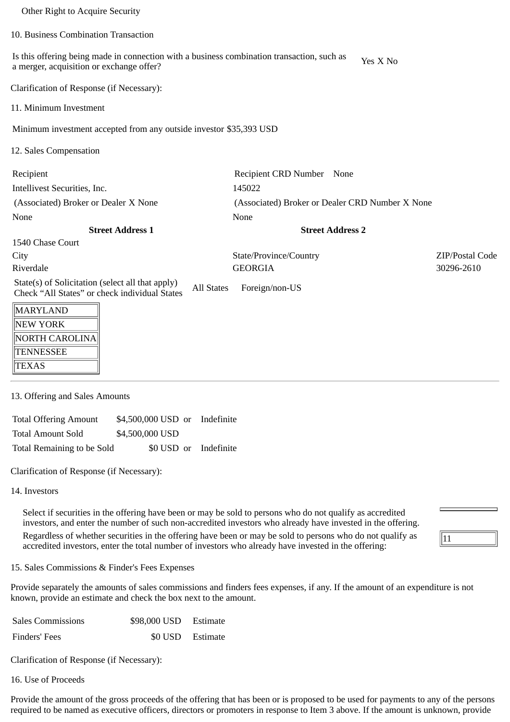| Other Right to Acquire Security                                                                                                        |                                                 |                 |  |
|----------------------------------------------------------------------------------------------------------------------------------------|-------------------------------------------------|-----------------|--|
| 10. Business Combination Transaction                                                                                                   |                                                 |                 |  |
| Is this offering being made in connection with a business combination transaction, such as<br>a merger, acquisition or exchange offer? | Yes X No                                        |                 |  |
| Clarification of Response (if Necessary):                                                                                              |                                                 |                 |  |
| 11. Minimum Investment                                                                                                                 |                                                 |                 |  |
| Minimum investment accepted from any outside investor \$35,393 USD                                                                     |                                                 |                 |  |
| 12. Sales Compensation                                                                                                                 |                                                 |                 |  |
| Recipient                                                                                                                              | Recipient CRD Number<br>None                    |                 |  |
| Intellivest Securities, Inc.                                                                                                           | 145022                                          |                 |  |
| (Associated) Broker or Dealer X None                                                                                                   | (Associated) Broker or Dealer CRD Number X None |                 |  |
| None<br>None                                                                                                                           |                                                 |                 |  |
| <b>Street Address 1</b>                                                                                                                | <b>Street Address 2</b>                         |                 |  |
| 1540 Chase Court                                                                                                                       |                                                 |                 |  |
| City                                                                                                                                   | State/Province/Country                          | ZIP/Postal Code |  |
| Riverdale                                                                                                                              | <b>GEORGIA</b>                                  | 30296-2610      |  |
| State(s) of Solicitation (select all that apply)<br><b>All States</b><br>Check "All States" or check individual States                 | Foreign/non-US                                  |                 |  |
| MARYLAND                                                                                                                               |                                                 |                 |  |
| NEW YORK                                                                                                                               |                                                 |                 |  |
| <b>NORTH CAROLINA</b>                                                                                                                  |                                                 |                 |  |
| <b>TENNESSEE</b>                                                                                                                       |                                                 |                 |  |
| <b>TEXAS</b>                                                                                                                           |                                                 |                 |  |

## 13. Offering and Sales Amounts

| <b>Total Offering Amount</b> | \$4,500,000 USD or Indefinite |  |
|------------------------------|-------------------------------|--|
| Total Amount Sold            | \$4,500,000 USD               |  |
| Total Remaining to be Sold   | \$0 USD or Indefinite         |  |

Clarification of Response (if Necessary):

#### 14. Investors

Select if securities in the offering have been or may be sold to persons who do not qualify as accredited investors, and enter the number of such non-accredited investors who already have invested in the offering. Regardless of whether securities in the offering have been or may be sold to persons who do not qualify as accredited investors, enter the total number of investors who already have invested in the offering:

### 15. Sales Commissions & Finder's Fees Expenses

Provide separately the amounts of sales commissions and finders fees expenses, if any. If the amount of an expenditure is not known, provide an estimate and check the box next to the amount.

| <b>Sales Commissions</b> | \$98,000 USD Estimate |                  |
|--------------------------|-----------------------|------------------|
| Finders' Fees            |                       | \$0 USD Estimate |

Clarification of Response (if Necessary):

16. Use of Proceeds

Provide the amount of the gross proceeds of the offering that has been or is proposed to be used for payments to any of the persons required to be named as executive officers, directors or promoters in response to Item 3 above. If the amount is unknown, provide